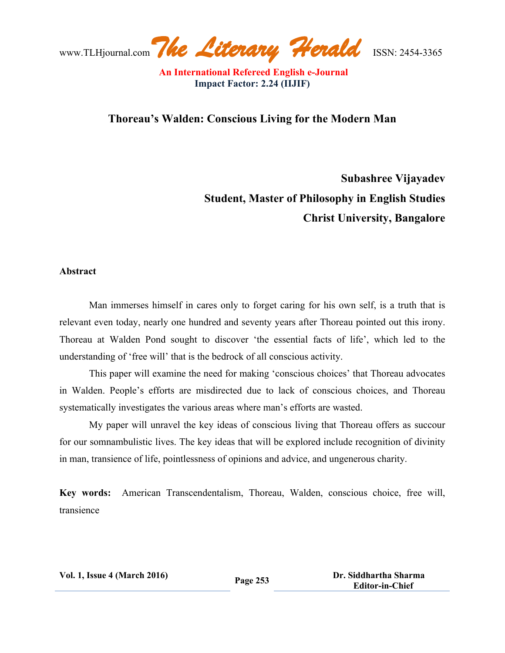www.TLHjournal.com*The Literary Herald*ISSN: 2454-3365

## **Thoreau's Walden: Conscious Living for the Modern Man**

**Subashree Vijayadev Student, Master of Philosophy in English Studies Christ University, Bangalore**

#### **Abstract**

Man immerses himself in cares only to forget caring for his own self, is a truth that is relevant even today, nearly one hundred and seventy years after Thoreau pointed out this irony. Thoreau at Walden Pond sought to discover 'the essential facts of life', which led to the understanding of 'free will' that is the bedrock of all conscious activity.

This paper will examine the need for making 'conscious choices' that Thoreau advocates in Walden. People's efforts are misdirected due to lack of conscious choices, and Thoreau systematically investigates the various areas where man's efforts are wasted.

My paper will unravel the key ideas of conscious living that Thoreau offers as succour for our somnambulistic lives. The key ideas that will be explored include recognition of divinity in man, transience of life, pointlessness of opinions and advice, and ungenerous charity.

**Key words:** American Transcendentalism, Thoreau, Walden, conscious choice, free will, transience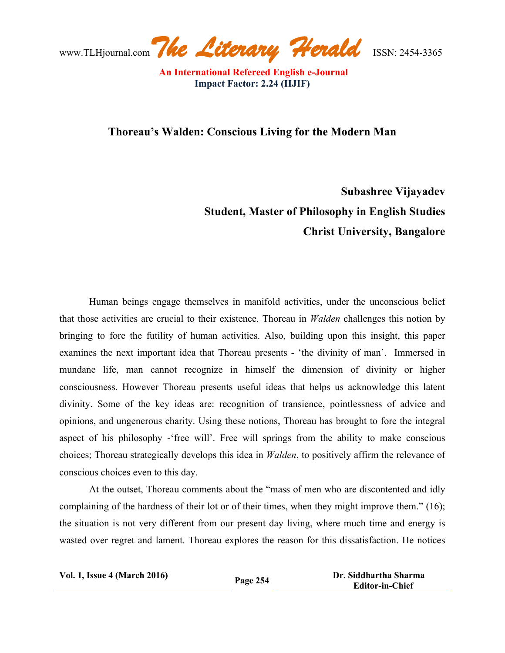www.TLHjournal.com*The Literary Herald*ISSN: 2454-3365

## **Thoreau's Walden: Conscious Living for the Modern Man**

# **Subashree Vijayadev Student, Master of Philosophy in English Studies Christ University, Bangalore**

Human beings engage themselves in manifold activities, under the unconscious belief that those activities are crucial to their existence. Thoreau in *Walden* challenges this notion by bringing to fore the futility of human activities. Also, building upon this insight, this paper examines the next important idea that Thoreau presents - 'the divinity of man'. Immersed in mundane life, man cannot recognize in himself the dimension of divinity or higher consciousness. However Thoreau presents useful ideas that helps us acknowledge this latent divinity. Some of the key ideas are: recognition of transience, pointlessness of advice and opinions, and ungenerous charity. Using these notions, Thoreau has brought to fore the integral aspect of his philosophy -'free will'. Free will springs from the ability to make conscious choices; Thoreau strategically develops this idea in *Walden*, to positively affirm the relevance of conscious choices even to this day.

 At the outset, Thoreau comments about the "mass of men who are discontented and idly complaining of the hardness of their lot or of their times, when they might improve them." (16); the situation is not very different from our present day living, where much time and energy is wasted over regret and lament. Thoreau explores the reason for this dissatisfaction. He notices

| <b>Vol. 1, Issue 4 (March 2016)</b> |  |  |
|-------------------------------------|--|--|
|-------------------------------------|--|--|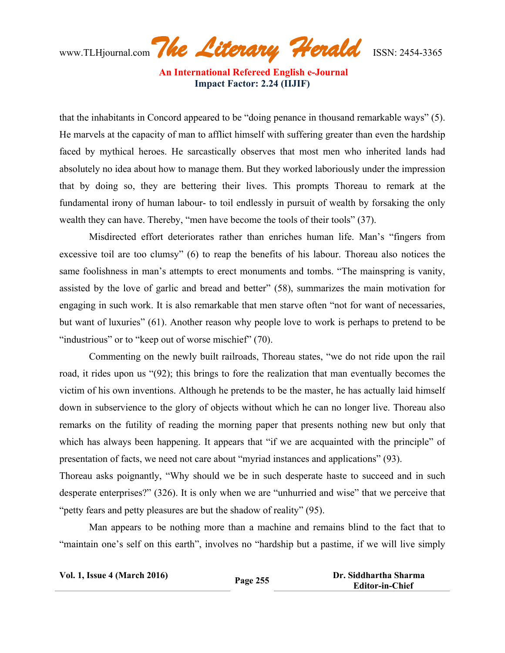www.TLHjournal.com*The Literary Herald*ISSN: 2454-3365

that the inhabitants in Concord appeared to be "doing penance in thousand remarkable ways" (5). He marvels at the capacity of man to afflict himself with suffering greater than even the hardship faced by mythical heroes. He sarcastically observes that most men who inherited lands had absolutely no idea about how to manage them. But they worked laboriously under the impression that by doing so, they are bettering their lives. This prompts Thoreau to remark at the fundamental irony of human labour- to toil endlessly in pursuit of wealth by forsaking the only wealth they can have. Thereby, "men have become the tools of their tools" (37).

Misdirected effort deteriorates rather than enriches human life. Man's "fingers from excessive toil are too clumsy" (6) to reap the benefits of his labour. Thoreau also notices the same foolishness in man's attempts to erect monuments and tombs. "The mainspring is vanity, assisted by the love of garlic and bread and better" (58), summarizes the main motivation for engaging in such work. It is also remarkable that men starve often "not for want of necessaries, but want of luxuries" (61). Another reason why people love to work is perhaps to pretend to be "industrious" or to "keep out of worse mischief" (70).

 Commenting on the newly built railroads, Thoreau states, "we do not ride upon the rail road, it rides upon us "(92); this brings to fore the realization that man eventually becomes the victim of his own inventions. Although he pretends to be the master, he has actually laid himself down in subservience to the glory of objects without which he can no longer live. Thoreau also remarks on the futility of reading the morning paper that presents nothing new but only that which has always been happening. It appears that "if we are acquainted with the principle" of presentation of facts, we need not care about "myriad instances and applications" (93).

Thoreau asks poignantly, "Why should we be in such desperate haste to succeed and in such desperate enterprises?" (326). It is only when we are "unhurried and wise" that we perceive that "petty fears and petty pleasures are but the shadow of reality" (95).

Man appears to be nothing more than a machine and remains blind to the fact that to "maintain one's self on this earth", involves no "hardship but a pastime, if we will live simply

| <b>Vol. 1, Issue 4 (March 2016)</b> | Page 255 | Dr. Siddhartha Sharma  |
|-------------------------------------|----------|------------------------|
|                                     |          | <b>Editor-in-Chief</b> |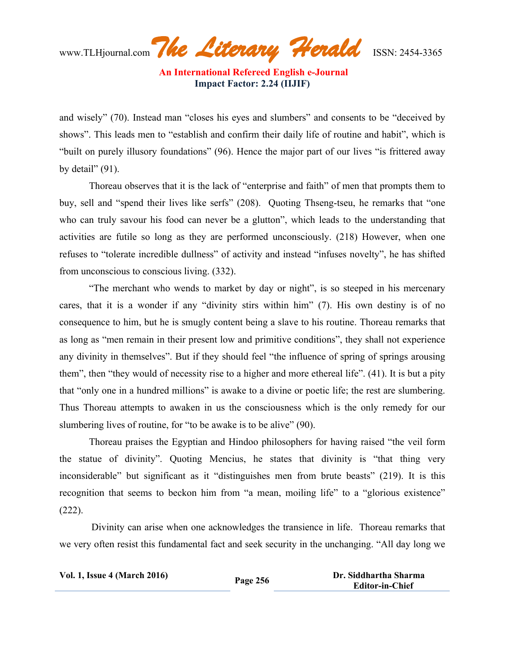

and wisely" (70). Instead man "closes his eyes and slumbers" and consents to be "deceived by shows". This leads men to "establish and confirm their daily life of routine and habit", which is "built on purely illusory foundations" (96). Hence the major part of our lives "is frittered away by detail"  $(91)$ .

Thoreau observes that it is the lack of "enterprise and faith" of men that prompts them to buy, sell and "spend their lives like serfs" (208). Quoting Thseng-tseu, he remarks that "one who can truly savour his food can never be a glutton", which leads to the understanding that activities are futile so long as they are performed unconsciously. (218) However, when one refuses to "tolerate incredible dullness" of activity and instead "infuses novelty", he has shifted from unconscious to conscious living. (332).

"The merchant who wends to market by day or night", is so steeped in his mercenary cares, that it is a wonder if any "divinity stirs within him" (7). His own destiny is of no consequence to him, but he is smugly content being a slave to his routine. Thoreau remarks that as long as "men remain in their present low and primitive conditions", they shall not experience any divinity in themselves". But if they should feel "the influence of spring of springs arousing them", then "they would of necessity rise to a higher and more ethereal life". (41). It is but a pity that "only one in a hundred millions" is awake to a divine or poetic life; the rest are slumbering. Thus Thoreau attempts to awaken in us the consciousness which is the only remedy for our slumbering lives of routine, for "to be awake is to be alive" (90).

 Thoreau praises the Egyptian and Hindoo philosophers for having raised "the veil form the statue of divinity". Quoting Mencius, he states that divinity is "that thing very inconsiderable" but significant as it "distinguishes men from brute beasts" (219). It is this recognition that seems to beckon him from "a mean, moiling life" to a "glorious existence" (222).

Divinity can arise when one acknowledges the transience in life. Thoreau remarks that we very often resist this fundamental fact and seek security in the unchanging. "All day long we

| <b>Vol. 1, Issue 4 (March 2016)</b> | Page 256 | Dr. Siddhartha Sharma  |
|-------------------------------------|----------|------------------------|
|                                     |          | <b>Editor-in-Chief</b> |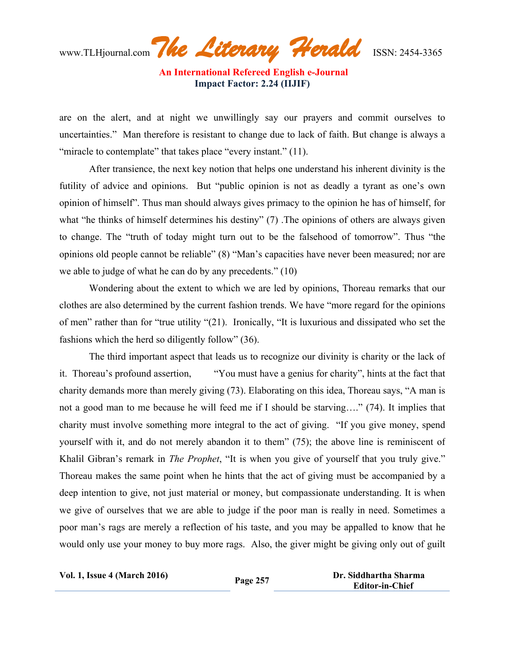www.TLHjournal.com*The Literary Herald*ISSN: 2454-3365

are on the alert, and at night we unwillingly say our prayers and commit ourselves to uncertainties." Man therefore is resistant to change due to lack of faith. But change is always a "miracle to contemplate" that takes place "every instant." (11).

After transience, the next key notion that helps one understand his inherent divinity is the futility of advice and opinions. But "public opinion is not as deadly a tyrant as one's own opinion of himself". Thus man should always gives primacy to the opinion he has of himself, for what "he thinks of himself determines his destiny" (7). The opinions of others are always given to change. The "truth of today might turn out to be the falsehood of tomorrow". Thus "the opinions old people cannot be reliable" (8) "Man's capacities have never been measured; nor are we able to judge of what he can do by any precedents." (10)

Wondering about the extent to which we are led by opinions, Thoreau remarks that our clothes are also determined by the current fashion trends. We have "more regard for the opinions of men" rather than for "true utility "(21). Ironically, "It is luxurious and dissipated who set the fashions which the herd so diligently follow" (36).

The third important aspect that leads us to recognize our divinity is charity or the lack of it. Thoreau's profound assertion, "You must have a genius for charity", hints at the fact that charity demands more than merely giving (73). Elaborating on this idea, Thoreau says, "A man is not a good man to me because he will feed me if I should be starving…." (74). It implies that charity must involve something more integral to the act of giving. "If you give money, spend yourself with it, and do not merely abandon it to them" (75); the above line is reminiscent of Khalil Gibran's remark in *The Prophet*, "It is when you give of yourself that you truly give." Thoreau makes the same point when he hints that the act of giving must be accompanied by a deep intention to give, not just material or money, but compassionate understanding. It is when we give of ourselves that we are able to judge if the poor man is really in need. Sometimes a poor man's rags are merely a reflection of his taste, and you may be appalled to know that he would only use your money to buy more rags. Also, the giver might be giving only out of guilt

**Vol. 1, Issue <sup>4</sup> (March 2016) Page <sup>257</sup> Dr. Siddhartha Sharma Editor-in-Chief**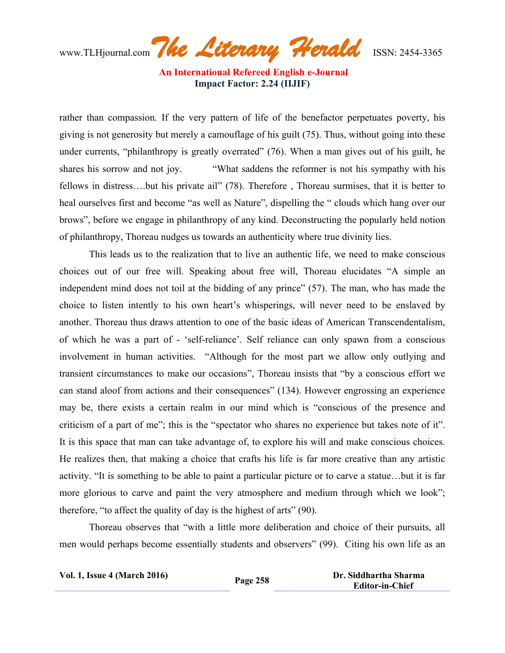www.TLHjournal.com*The Literary Herald*ISSN: 2454-3365

rather than compassion. If the very pattern of life of the benefactor perpetuates poverty, his giving is not generosity but merely a camouflage of his guilt (75). Thus, without going into these under currents, "philanthropy is greatly overrated" (76). When a man gives out of his guilt, he shares his sorrow and not joy. "What saddens the reformer is not his sympathy with his fellows in distress….but his private ail" (78). Therefore , Thoreau surmises, that it is better to heal ourselves first and become "as well as Nature", dispelling the " clouds which hang over our brows", before we engage in philanthropy of any kind. Deconstructing the popularly held notion of philanthropy, Thoreau nudges us towards an authenticity where true divinity lies.

This leads us to the realization that to live an authentic life, we need to make conscious choices out of our free will. Speaking about free will, Thoreau elucidates "A simple an independent mind does not toil at the bidding of any prince" (57). The man, who has made the choice to listen intently to his own heart's whisperings, will never need to be enslaved by another. Thoreau thus draws attention to one of the basic ideas of American Transcendentalism, of which he was a part of - 'self-reliance'. Self reliance can only spawn from a conscious involvement in human activities. "Although for the most part we allow only outlying and transient circumstances to make our occasions", Thoreau insists that "by a conscious effort we can stand aloof from actions and their consequences" (134). However engrossing an experience may be, there exists a certain realm in our mind which is "conscious of the presence and criticism of a part of me"; this is the "spectator who shares no experience but takes note of it". It is this space that man can take advantage of, to explore his will and make conscious choices. He realizes then, that making a choice that crafts his life is far more creative than any artistic activity. "It is something to be able to paint a particular picture or to carve a statue…but it is far more glorious to carve and paint the very atmosphere and medium through which we look"; therefore, "to affect the quality of day is the highest of arts" (90).

Thoreau observes that "with a little more deliberation and choice of their pursuits, all men would perhaps become essentially students and observers" (99). Citing his own life as an

| <b>Vol. 1, Issue 4 (March 2016)</b> | Page 258 | Dr. Siddhartha Sharma  |
|-------------------------------------|----------|------------------------|
|                                     |          | <b>Editor-in-Chief</b> |